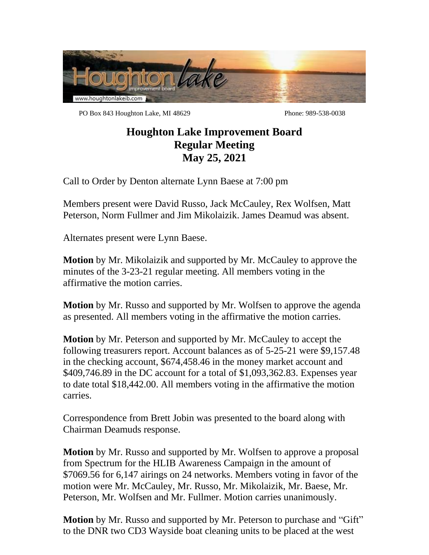

PO Box 843 Houghton Lake, MI 48629 Phone: 989-538-0038

## **Houghton Lake Improvement Board Regular Meeting May 25, 2021**

Call to Order by Denton alternate Lynn Baese at 7:00 pm

Members present were David Russo, Jack McCauley, Rex Wolfsen, Matt Peterson, Norm Fullmer and Jim Mikolaizik. James Deamud was absent.

Alternates present were Lynn Baese.

**Motion** by Mr. Mikolaizik and supported by Mr. McCauley to approve the minutes of the 3-23-21 regular meeting. All members voting in the affirmative the motion carries.

**Motion** by Mr. Russo and supported by Mr. Wolfsen to approve the agenda as presented. All members voting in the affirmative the motion carries.

**Motion** by Mr. Peterson and supported by Mr. McCauley to accept the following treasurers report. Account balances as of 5-25-21 were \$9,157.48 in the checking account, \$674,458.46 in the money market account and \$409,746.89 in the DC account for a total of \$1,093,362.83. Expenses year to date total \$18,442.00. All members voting in the affirmative the motion carries.

Correspondence from Brett Jobin was presented to the board along with Chairman Deamuds response.

**Motion** by Mr. Russo and supported by Mr. Wolfsen to approve a proposal from Spectrum for the HLIB Awareness Campaign in the amount of \$7069.56 for 6,147 airings on 24 networks. Members voting in favor of the motion were Mr. McCauley, Mr. Russo, Mr. Mikolaizik, Mr. Baese, Mr. Peterson, Mr. Wolfsen and Mr. Fullmer. Motion carries unanimously.

**Motion** by Mr. Russo and supported by Mr. Peterson to purchase and "Gift" to the DNR two CD3 Wayside boat cleaning units to be placed at the west